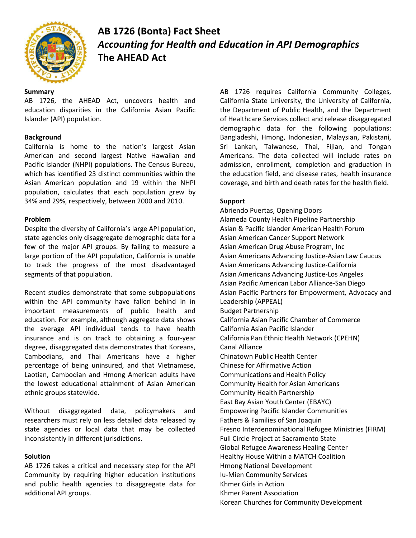

# **AB 1726 (Bonta) Fact Sheet** *Accounting for Health and Education in API Demographics* **The AHEAD Act**

## **Summary**

AB 1726, the AHEAD Act, uncovers health and education disparities in the California Asian Pacific Islander (API) population.

## **Background**

California is home to the nation's largest Asian American and second largest Native Hawaiian and Pacific Islander (NHPI) populations. The Census Bureau, which has identified 23 distinct communities within the Asian American population and 19 within the NHPI population, calculates that each population grew by 34% and 29%, respectively, between 2000 and 2010.

### **Problem**

Despite the diversity of California's large API population, state agencies only disaggregate demographic data for a few of the major API groups. By failing to measure a large portion of the API population, California is unable to track the progress of the most disadvantaged segments of that population.

Recent studies demonstrate that some subpopulations within the API community have fallen behind in in important measurements of public health and education. For example, although aggregate data shows the average API individual tends to have health insurance and is on track to obtaining a four-year degree, disaggregated data demonstrates that Koreans, Cambodians, and Thai Americans have a higher percentage of being uninsured, and that Vietnamese, Laotian, Cambodian and Hmong American adults have the lowest educational attainment of Asian American ethnic groups statewide.

Without disaggregated data, policymakers and researchers must rely on less detailed data released by state agencies or local data that may be collected inconsistently in different jurisdictions.

### **Solution**

AB 1726 takes a critical and necessary step for the API Community by requiring higher education institutions and public health agencies to disaggregate data for additional API groups.

AB 1726 requires California Community Colleges, California State University, the University of California, the Department of Public Health, and the Department of Healthcare Services collect and release disaggregated demographic data for the following populations: Bangladeshi, Hmong, Indonesian, Malaysian, Pakistani, Sri Lankan, Taiwanese, Thai, Fijian, and Tongan Americans. The data collected will include rates on admission, enrollment, completion and graduation in the education field, and disease rates, health insurance coverage, and birth and death rates for the health field.

## **Support**

Abriendo Puertas, Opening Doors Alameda County Health Pipeline Partnership Asian & Pacific Islander American Health Forum Asian American Cancer Support Network Asian American Drug Abuse Program, Inc Asian Americans Advancing Justice-Asian Law Caucus Asian Americans Advancing Justice-California Asian Americans Advancing Justice-Los Angeles Asian Pacific American Labor Alliance-San Diego Asian Pacific Partners for Empowerment, Advocacy and Leadership (APPEAL) Budget Partnership California Asian Pacific Chamber of Commerce California Asian Pacific Islander California Pan Ethnic Health Network (CPEHN) Canal Alliance Chinatown Public Health Center Chinese for Affirmative Action Communications and Health Policy Community Health for Asian Americans Community Health Partnership East Bay Asian Youth Center (EBAYC) Empowering Pacific Islander Communities Fathers & Families of San Joaquin Fresno Interdenominational Refugee Ministries (FIRM) Full Circle Project at Sacramento State Global Refugee Awareness Healing Center Healthy House Within a MATCH Coalition Hmong National Development Iu-Mien Community Services Khmer Girls in Action Khmer Parent Association Korean Churches for Community Development